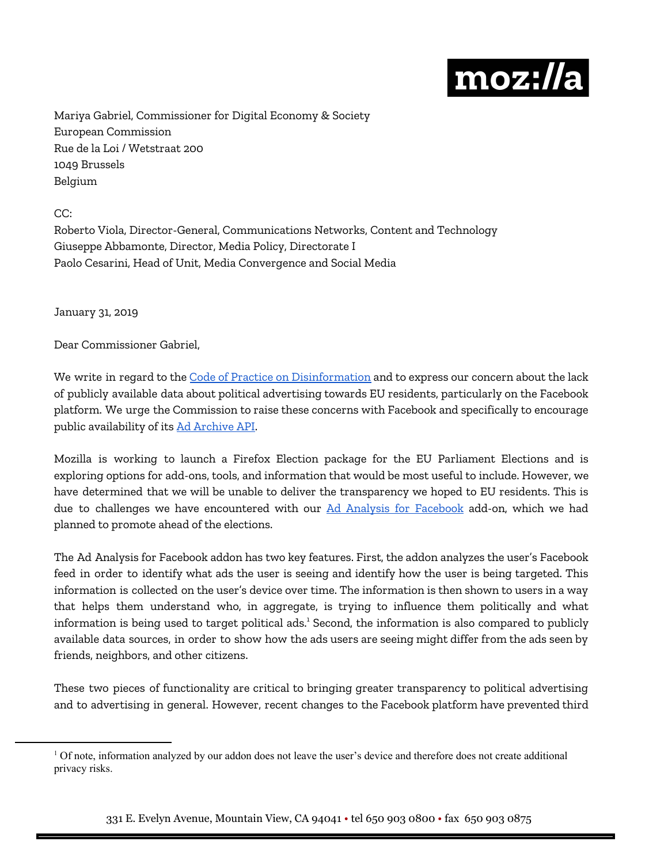

Mariya Gabriel, Commissioner for Digital Economy & Society European Commission Rue de la Loi / Wetstraat 200 1049 Brussels Belgium

CC:

Roberto Viola, Director-General, Communications Networks, Content and Technology Giuseppe Abbamonte, Director, Media Policy, Directorate I Paolo Cesarini, Head of Unit, Media Convergence and Social Media

January 31, 2019

Dear Commissioner Gabriel,

We write in regard to the Code of Practice on [Disinformation](https://ec.europa.eu/digital-single-market/en/news/code-practice-disinformation) and to express our concern about the lack of publicly available data about political advertising towards EU residents, particularly on the Facebook platform. We urge the Commission to raise these concerns with Facebook and specifically to encourage public availability of its Ad [Archive](https://newsroom.fb.com/news/2018/08/introducing-the-ad-archive-api/) API.

Mozilla is working to launch a Firefox Election package for the EU Parliament Elections and is exploring options for add-ons, tools, and information that would be most useful to include. However, we have determined that we will be unable to deliver the transparency we hoped to EU residents. This is due to challenges we have encountered with our Ad Analysis for [Facebook](https://addons.mozilla.org/en-US/firefox/addon/ad-analysis-for-facebook/) add-on, which we had planned to promote ahead of the elections.

The Ad Analysis for Facebook addon has two key features. First, the addon analyzes the user's Facebook feed in order to identify what ads the user is seeing and identify how the user is being targeted. This information is collected on the user's device over time. The information is then shown to users in a way that helps them understand who, in aggregate, is trying to influence them politically and what information is being used to target political ads. $^1$  Second, the information is also compared to publicly available data sources, in order to show how the ads users are seeing might differ from the ads seen by friends, neighbors, and other citizens.

These two pieces of functionality are critical to bringing greater transparency to political advertising and to advertising in general. However, recent changes to the Facebook platform have prevented third

<sup>&</sup>lt;sup>1</sup> Of note, information analyzed by our addon does not leave the user's device and therefore does not create additional privacy risks.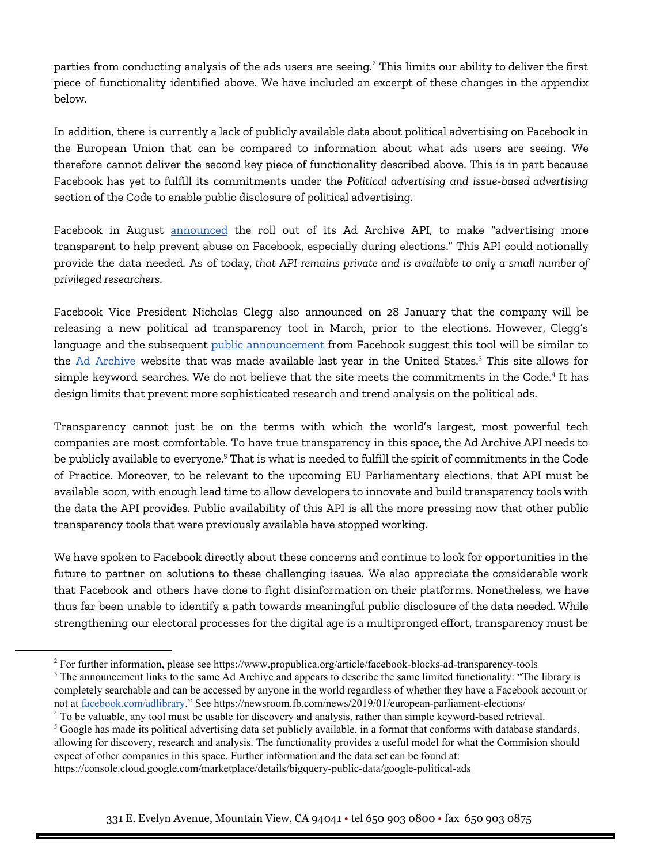parties from conducting analysis of the ads users are seeing. $^2$  This limits our ability to deliver the first piece of functionality identified above. We have included an excerpt of these changes in the appendix below.

In addition, there is currently a lack of publicly available data about political advertising on Facebook in the European Union that can be compared to information about what ads users are seeing. We therefore cannot deliver the second key piece of functionality described above. This is in part because Facebook has yet to fulfill its commitments under the *Political advertising and issue-based advertising* section of the Code to enable public disclosure of political advertising.

Facebook in August [announced](https://newsroom.fb.com/news/2018/08/introducing-the-ad-archive-api/) the roll out of its Ad Archive API, to make "advertising more transparent to help prevent abuse on Facebook, especially during elections." This API could notionally provide the data needed. As of today, *that API remains private and is available to only a small number of privileged researchers*.

Facebook Vice President Nicholas Clegg also announced on 28 January that the company will be releasing a new political ad transparency tool in March, prior to the elections. However, Clegg's language and the subsequent public [announcement](https://newsroom.fb.com/news/2019/01/european-parliament-elections/) from Facebook suggest this tool will be similar to the <u>Ad [Archive](https://www.facebook.com/ads/archive/?active_status=all&ad_type=political_and_issue_ads&country=US)</u> website that was made available last year in the United States.<sup>3</sup> This site allows for simple keyword searches. We do not believe that the site meets the commitments in the Code.<sup>4</sup> It has design limits that prevent more sophisticated research and trend analysis on the political ads.

Transparency cannot just be on the terms with which the world's largest, most powerful tech companies are most comfortable. To have true transparency in this space, the Ad Archive API needs to be publicly available to everyone. $^{\mathrm{s}}$  That is what is needed to fulfill the spirit of commitments in the Code of Practice. Moreover, to be relevant to the upcoming EU Parliamentary elections, that API must be available soon, with enough lead time to allow developers to innovate and build transparency tools with the data the API provides. Public availability of this API is all the more pressing now that other public transparency tools that were previously available have stopped working.

We have spoken to Facebook directly about these concerns and continue to look for opportunities in the future to partner on solutions to these challenging issues. We also appreciate the considerable work that Facebook and others have done to fight disinformation on their platforms. Nonetheless, we have thus far been unable to identify a path towards meaningful public disclosure of the data needed. While strengthening our electoral processes for the digital age is a multipronged effort, transparency must be

<sup>4</sup> To be valuable, any tool must be usable for discovery and analysis, rather than simple keyword-based retrieval.  $<sup>5</sup>$  Google has made its political advertising data set publicly available, in a format that conforms with database standards,</sup> allowing for discovery, research and analysis. The functionality provides a useful model for what the Commision should expect of other companies in this space. Further information and the data set can be found at:

<sup>2</sup> For further information, please see https://www.propublica.org/article/facebook-blocks-ad-transparency-tools

<sup>&</sup>lt;sup>3</sup> The announcement links to the same Ad Archive and appears to describe the same limited functionality: "The library is completely searchable and can be accessed by anyone in the world regardless of whether they have a Facebook account or not at [facebook.com/adlibrary.](http://facebook.com/adlibrary)" See https://newsroom.fb.com/news/2019/01/european-parliament-elections/

https://console.cloud.google.com/marketplace/details/bigquery-public-data/google-political-ads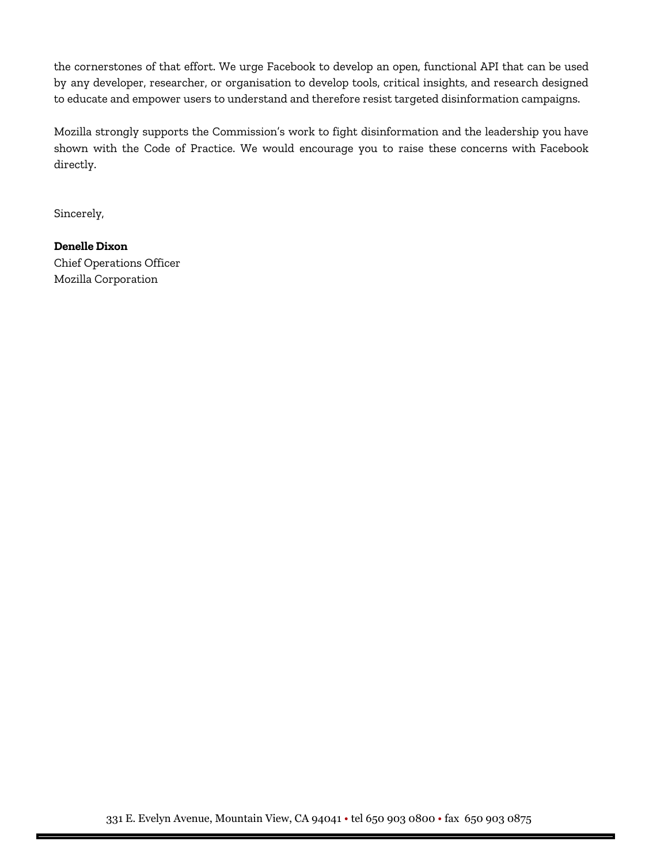the cornerstones of that effort. We urge Facebook to develop an open, functional API that can be used by any developer, researcher, or organisation to develop tools, critical insights, and research designed to educate and empower users to understand and therefore resist targeted disinformation campaigns.

Mozilla strongly supports the Commission's work to fight disinformation and the leadership you have shown with the Code of Practice. We would encourage you to raise these concerns with Facebook directly.

Sincerely,

## **Denelle Dixon**

Chief Operations Officer Mozilla Corporation